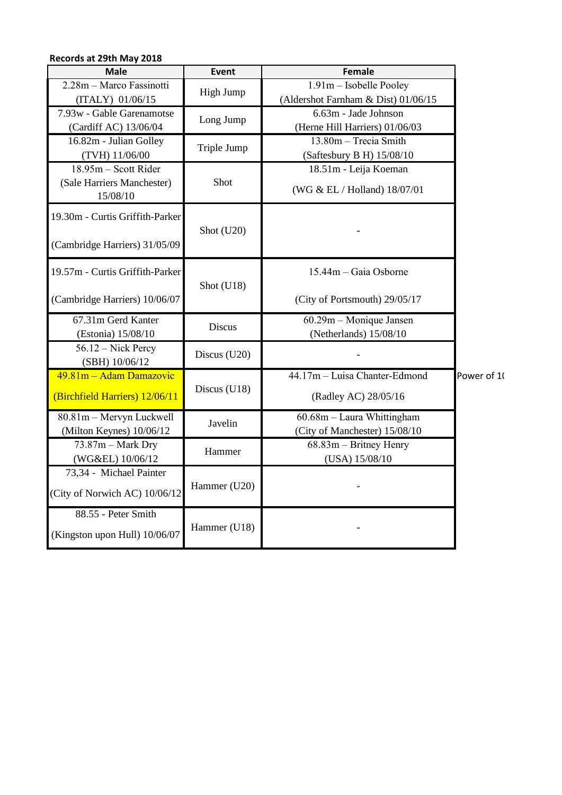| Records at 29th May 2018                                         |               |                                                                |             |
|------------------------------------------------------------------|---------------|----------------------------------------------------------------|-------------|
| <b>Male</b>                                                      | Event         | <b>Female</b>                                                  |             |
| 2.28m - Marco Fassinotti<br>(ITALY) 01/06/15                     | High Jump     | 1.91m - Isobelle Pooley<br>(Aldershot Farnham & Dist) 01/06/15 |             |
| 7.93w - Gable Garenamotse<br>(Cardiff AC) 13/06/04               | Long Jump     | 6.63m - Jade Johnson<br>(Herne Hill Harriers) 01/06/03         |             |
| 16.82m - Julian Golley<br>(TVH) 11/06/00                         | Triple Jump   | 13.80m - Trecia Smith<br>(Saftesbury B H) 15/08/10             |             |
| 18.95m - Scott Rider<br>(Sale Harriers Manchester)<br>15/08/10   | Shot          | 18.51m - Leija Koeman<br>(WG & EL / Holland) 18/07/01          |             |
| 19.30m - Curtis Griffith-Parker<br>(Cambridge Harriers) 31/05/09 | Shot (U20)    |                                                                |             |
| 19.57m - Curtis Griffith-Parker<br>(Cambridge Harriers) 10/06/07 | Shot (U18)    | 15.44m - Gaia Osborne<br>(City of Portsmouth) 29/05/17         |             |
| 67.31m Gerd Kanter<br>(Estonia) 15/08/10                         | <b>Discus</b> | 60.29m - Monique Jansen<br>(Netherlands) 15/08/10              |             |
| 56.12 – Nick Percy<br>(SBH) 10/06/12                             | Discus (U20)  |                                                                | Power of 10 |
| 49.81m - Adam Damazovic<br>(Birchfield Harriers) 12/06/11        | Discus (U18)  | 44.17m - Luisa Chanter-Edmond<br>(Radley AC) 28/05/16          |             |
| 80.81m - Mervyn Luckwell<br>(Milton Keynes) 10/06/12             | Javelin       | 60.68m - Laura Whittingham<br>(City of Manchester) 15/08/10    |             |
| $73.87m$ – Mark Dry<br>(WG&EL) 10/06/12                          | Hammer        | 68.83m - Britney Henry<br>(USA) 15/08/10                       |             |
| 73,34 - Michael Painter<br>(City of Norwich AC) 10/06/12         | Hammer (U20)  |                                                                |             |
| 88.55 - Peter Smith<br>(Kingston upon Hull) 10/06/07             | Hammer (U18)  |                                                                |             |